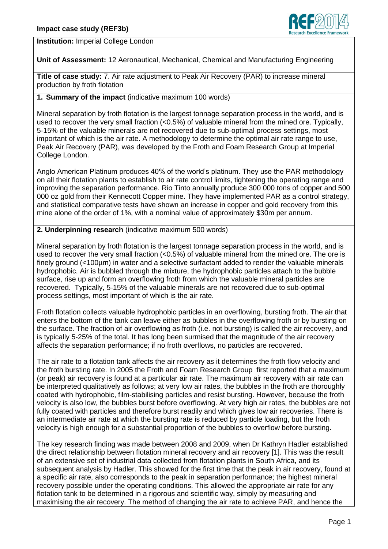

**Institution:** Imperial College London

**Unit of Assessment:** 12 Aeronautical, Mechanical, Chemical and Manufacturing Engineering

**Title of case study:** 7. Air rate adjustment to Peak Air Recovery (PAR) to increase mineral production by froth flotation

## **1. Summary of the impact** (indicative maximum 100 words)

Mineral separation by froth flotation is the largest tonnage separation process in the world, and is used to recover the very small fraction (<0.5%) of valuable mineral from the mined ore. Typically, 5-15% of the valuable minerals are not recovered due to sub-optimal process settings, most important of which is the air rate. A methodology to determine the optimal air rate range to use, Peak Air Recovery (PAR), was developed by the Froth and Foam Research Group at Imperial College London.

Anglo American Platinum produces 40% of the world's platinum. They use the PAR methodology on all their flotation plants to establish to air rate control limits, tightening the operating range and improving the separation performance. Rio Tinto annually produce 300 000 tons of copper and 500 000 oz gold from their Kennecott Copper mine. They have implemented PAR as a control strategy, and statistical comparative tests have shown an increase in copper and gold recovery from this mine alone of the order of 1%, with a nominal value of approximately \$30m per annum.

## **2. Underpinning research** (indicative maximum 500 words)

Mineral separation by froth flotation is the largest tonnage separation process in the world, and is used to recover the very small fraction  $\langle$ <0.5%) of valuable mineral from the mined ore. The ore is finely ground (<100µm) in water and a selective surfactant added to render the valuable minerals hydrophobic. Air is bubbled through the mixture, the hydrophobic particles attach to the bubble surface, rise up and form an overflowing froth from which the valuable mineral particles are recovered. Typically, 5-15% of the valuable minerals are not recovered due to sub-optimal process settings, most important of which is the air rate.

Froth flotation collects valuable hydrophobic particles in an overflowing, bursting froth. The air that enters the bottom of the tank can leave either as bubbles in the overflowing froth or by bursting on the surface. The fraction of air overflowing as froth (i.e. not bursting) is called the air recovery, and is typically 5-25% of the total. It has long been surmised that the magnitude of the air recovery affects the separation performance; if no froth overflows, no particles are recovered.

The air rate to a flotation tank affects the air recovery as it determines the froth flow velocity and the froth bursting rate. In 2005 the Froth and Foam Research Group first reported that a maximum (or peak) air recovery is found at a particular air rate. The maximum air recovery with air rate can be interpreted qualitatively as follows; at very low air rates, the bubbles in the froth are thoroughly coated with hydrophobic, film-stabilising particles and resist bursting. However, because the froth velocity is also low, the bubbles burst before overflowing. At very high air rates, the bubbles are not fully coated with particles and therefore burst readily and which gives low air recoveries. There is an intermediate air rate at which the bursting rate is reduced by particle loading, but the froth velocity is high enough for a substantial proportion of the bubbles to overflow before bursting.

The key research finding was made between 2008 and 2009, when Dr Kathryn Hadler established the direct relationship between flotation mineral recovery and air recovery [1]. This was the result of an extensive set of industrial data collected from flotation plants in South Africa, and its subsequent analysis by Hadler. This showed for the first time that the peak in air recovery, found at a specific air rate, also corresponds to the peak in separation performance; the highest mineral recovery possible under the operating conditions. This allowed the appropriate air rate for any flotation tank to be determined in a rigorous and scientific way, simply by measuring and maximising the air recovery. The method of changing the air rate to achieve PAR, and hence the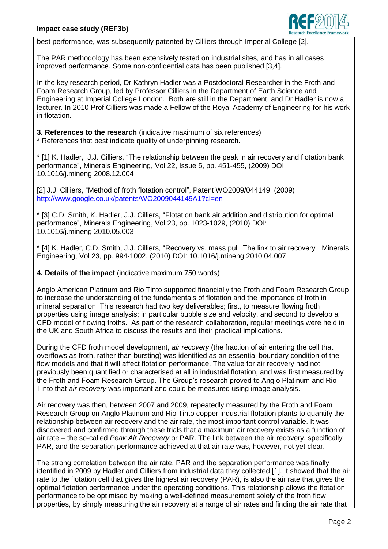

best performance, was subsequently patented by Cilliers through Imperial College [2].

The PAR methodology has been extensively tested on industrial sites, and has in all cases improved performance. Some non-confidential data has been published [3,4].

In the key research period, Dr Kathryn Hadler was a Postdoctoral Researcher in the Froth and Foam Research Group, led by Professor Cilliers in the Department of Earth Science and Engineering at Imperial College London. Both are still in the Department, and Dr Hadler is now a lecturer. In 2010 Prof Cilliers was made a Fellow of the Royal Academy of Engineering for his work in flotation.

**3. References to the research** (indicative maximum of six references) \* References that best indicate quality of underpinning research.

\* [1] K. Hadler, J.J. Cilliers, "The relationship between the peak in air recovery and flotation bank performance", Minerals Engineering, Vol 22, Issue 5, pp. 451-455, (2009) DOI: 10.1016/j.mineng.2008.12.004

[2] J.J. Cilliers, "Method of froth flotation control", Patent WO2009/044149, (2009) <http://www.google.co.uk/patents/WO2009044149A1?cl=en>

\* [3] C.D. Smith, K. Hadler, J.J. Cilliers, "Flotation bank air addition and distribution for optimal performance", Minerals Engineering, Vol 23, pp. 1023-1029, (2010) DOI: 10.1016/j.mineng.2010.05.003

\* [4] K. Hadler, C.D. Smith, J.J. Cilliers, "Recovery vs. mass pull: The link to air recovery", Minerals Engineering, Vol 23, pp. 994-1002, (2010) DOI: 10.1016/j.mineng.2010.04.007

## **4. Details of the impact** (indicative maximum 750 words)

Anglo American Platinum and Rio Tinto supported financially the Froth and Foam Research Group to increase the understanding of the fundamentals of flotation and the importance of froth in mineral separation. This research had two key deliverables; first, to measure flowing froth properties using image analysis; in particular bubble size and velocity, and second to develop a CFD model of flowing froths. As part of the research collaboration, regular meetings were held in the UK and South Africa to discuss the results and their practical implications.

During the CFD froth model development, *air recovery* (the fraction of air entering the cell that overflows as froth, rather than bursting) was identified as an essential boundary condition of the flow models and that it will affect flotation performance. The value for air recovery had not previously been quantified or characterised at all in industrial flotation, and was first measured by the Froth and Foam Research Group. The Group's research proved to Anglo Platinum and Rio Tinto that *air recovery* was important and could be measured using image analysis.

Air recovery was then, between 2007 and 2009, repeatedly measured by the Froth and Foam Research Group on Anglo Platinum and Rio Tinto copper industrial flotation plants to quantify the relationship between air recovery and the air rate, the most important control variable. It was discovered and confirmed through these trials that a maximum air recovery exists as a function of air rate – the so-called *Peak Air Recovery* or PAR. The link between the air recovery, specifically PAR, and the separation performance achieved at that air rate was, however, not yet clear.

The strong correlation between the air rate, PAR and the separation performance was finally identified in 2009 by Hadler and Cilliers from industrial data they collected [1]. It showed that the air rate to the flotation cell that gives the highest air recovery (PAR), is also the air rate that gives the optimal flotation performance under the operating conditions. This relationship allows the flotation performance to be optimised by making a well-defined measurement solely of the froth flow properties, by simply measuring the air recovery at a range of air rates and finding the air rate that